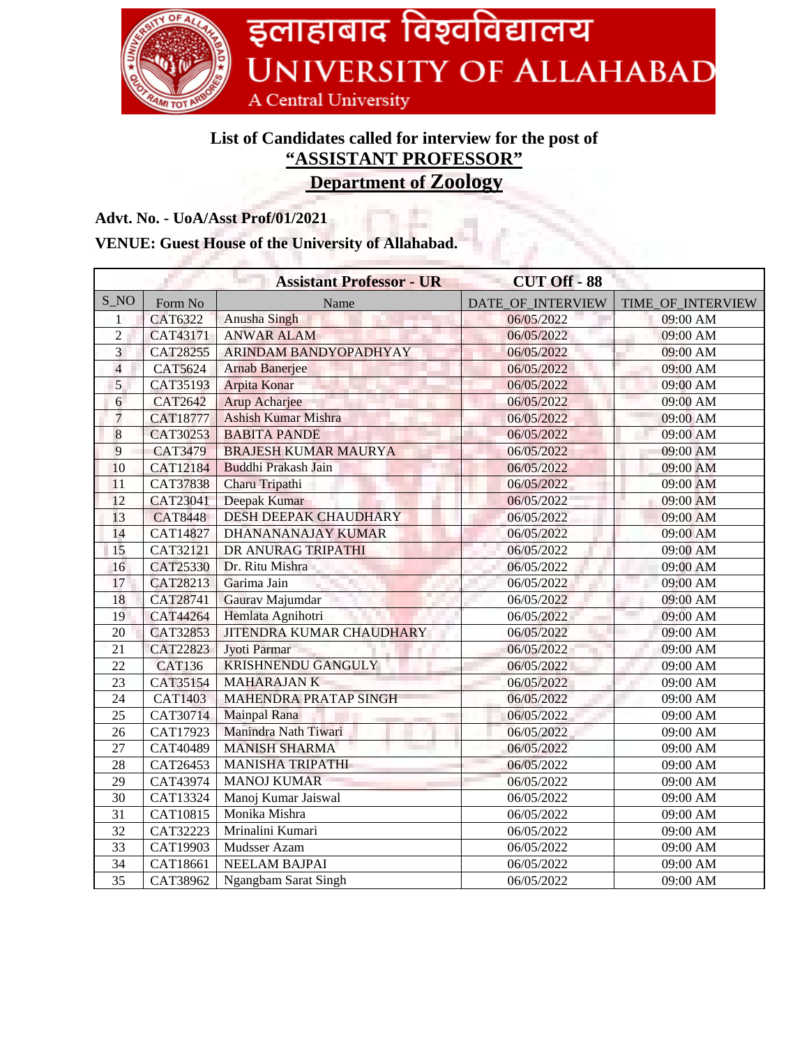

## **List of Candidates called for interview for the post of "ASSISTANT PROFESSOR"**

**Department of Zoology**

## **Advt. No. - UoA/Asst Prof/01/2021**

## **VENUE: Guest House of the University of Allahabad.**

|                 |                 | <b>Assistant Professor - UR</b> | <b>CUT Off - 88</b><br>The Co |                       |
|-----------------|-----------------|---------------------------------|-------------------------------|-----------------------|
| $S_N$           | Form No         | Name                            | DATE OF INTERVIEW             | TIME_OF_INTERVIEW     |
| 1               | CAT6322         | <b>Anusha Singh</b>             | 06/05/2022                    | 09:00 AM              |
| $\overline{2}$  | CAT43171        | <b>ANWAR ALAM</b>               | 06/05/2022                    | 09:00 AM              |
| $\overline{3}$  | CAT28255        | <b>ARINDAM BANDYOPADHYAY</b>    | 06/05/2022                    | 09:00 AM              |
| $\overline{4}$  | <b>CAT5624</b>  | <b>Arnab Banerjee</b>           | 06/05/2022                    | 09:00 AM              |
| 5               | CAT35193        | Arpita Konar                    | 06/05/2022                    | 09:00 AM              |
| 6               | <b>CAT2642</b>  | Arup Acharjee                   | 06/05/2022                    | 09:00 AM              |
| $\overline{7}$  | <b>CAT18777</b> | <b>Ashish Kumar Mishra</b>      | 06/05/2022                    | 09:00 AM              |
| $8\phantom{.}$  | CAT30253        | <b>BABITA PANDE</b>             | 06/05/2022                    | 09:00 AM              |
| 9               | CAT3479         | <b>BRAJESH KUMAR MAURYA</b>     | 06/05/2022                    | 09:00 AM              |
| 10              | CAT12184        | Buddhi Prakash Jain             | 06/05/2022                    | 09:00 AM              |
| 11              | CAT37838        | Charu Tripathi                  | 06/05/2022                    | 09:00 AM              |
| 12              | CAT23041        | Deepak Kumar                    | 06/05/2022                    | 09:00 AM              |
| 13              | <b>CAT8448</b>  | DESH DEEPAK CHAUDHARY           | 06/05/2022                    | 09:00 AM              |
| 14              | <b>CAT14827</b> | DHANANANAJAY KUMAR              | 06/05/2022                    | 09:00 AM              |
| 15              | CAT32121        | DR ANURAG TRIPATHI              | 06/05/2022                    | 09:00 AM              |
| 16              | CAT25330        | Dr. Ritu Mishra                 | 06/05/2022                    | 09:00 AM              |
| 17              | CAT28213        | Garima Jain                     | 06/05/2022                    | 09:00 AM              |
| 18              | CAT28741        | Gaurav Majumdar                 | 06/05/2022                    | 09:00 AM              |
| 19              | CAT44264        | Hemlata Agnihotri               | 06/05/2022                    | 09:00 AM              |
| 20              | CAT32853        | <b>JITENDRA KUMAR CHAUDHARY</b> | 06/05/2022                    | 09:00 AM              |
| 21              | CAT22823        | Jyoti Parmar                    | 06/05/2022                    | 09:00 AM              |
| 22              | <b>CAT136</b>   | <b>KRISHNENDU GANGULY</b>       | 06/05/2022                    | 09:00 AM              |
| 23              | CAT35154        | <b>MAHARAJANK</b>               | 06/05/2022                    | 09:00 AM              |
| $\overline{24}$ | <b>CAT1403</b>  | <b>MAHENDRA PRATAP SINGH</b>    | 06/05/2022                    | 09:00 AM              |
| 25              | CAT30714        | Mainpal Rana                    | 06/05/2022                    | 09:00 AM              |
| 26              | CAT17923        | Manindra Nath Tiwari            | 06/05/2022                    | 09:00 AM              |
| $\overline{27}$ | CAT40489        | <b>MANISH SHARMA</b>            | 06/05/2022                    | 09:00 AM              |
| 28              | CAT26453        | <b>MANISHA TRIPATHI</b>         | 06/05/2022                    | 09:00 AM              |
| 29              | CAT43974        | <b>MANOJ KUMAR</b>              | 06/05/2022                    | 09:00 AM              |
| 30              | CAT13324        | Manoj Kumar Jaiswal             | 06/05/2022                    | $\overline{0}9:00$ AM |
| $\overline{31}$ | CAT10815        | Monika Mishra                   | 06/05/2022                    | 09:00 AM              |
| 32              | CAT32223        | Mrinalini Kumari                | 06/05/2022                    | 09:00 AM              |
| 33              | CAT19903        | Mudsser Azam                    | 06/05/2022                    | 09:00 AM              |
| 34              | CAT18661        | <b>NEELAM BAJPAI</b>            | 06/05/2022                    | 09:00 AM              |
| 35              | CAT38962        | Ngangbam Sarat Singh            | 06/05/2022                    | 09:00 AM              |